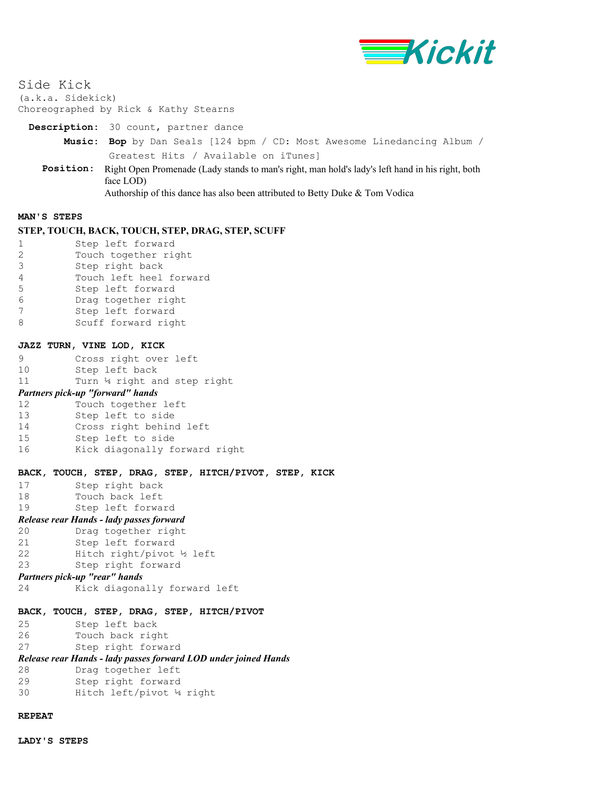

Side Kick

(a.k.a. Sidekick) Choreographed by Rick & Kathy Stearns

**Description:** 30 count, partner dance

- **Music: Bop** by Dan Seals [124 bpm / CD: Most Awesome Linedancing Album / Greatest Hits / Available on iTunes]
- **Position:** Right Open Promenade (Lady stands to man's right, man hold's lady's left hand in his right, both face LOD)

# Authorship of this dance has also been attributed to Betty Duke & Tom Vodica

#### **MAN'S STEPS**

### **STEP, TOUCH, BACK, TOUCH, STEP, DRAG, STEP, SCUFF**

|               | Step left forward       |
|---------------|-------------------------|
| $\mathcal{L}$ | Touch together right    |
| २             | Step right back         |
| 4             | Touch left heel forward |
| 5             | Step left forward       |
| ่ค            | Drag together right     |
|               | Step left forward       |
|               | Scuff forward right     |

### **JAZZ TURN, VINE LOD, KICK**

| 9 | Cross right over left |  |  |
|---|-----------------------|--|--|
|   |                       |  |  |

10 Step left back

```
11 Turn 14 right and step right
```
## *Partners pick-up "forward" hands*

| 12 | Touch together left           |
|----|-------------------------------|
| 13 | Step left to side             |
| 14 | Cross right behind left       |
| 15 | Step left to side             |
| 16 | Kick diagonally forward right |

#### **BACK, TOUCH, STEP, DRAG, STEP, HITCH/PIVOT, STEP, KICK**

- 17 Step right back<br>18 Touch back left Touch back left
- 19 Step left forward

# *Release rear Hands - lady passes forward*

- 20 Drag together right
- 21 Step left forward
- 22 Hitch right/pivot ½ left
- 23 Step right forward

# *Partners pick-up "rear" hands*

24 Kick diagonally forward left

### **BACK, TOUCH, STEP, DRAG, STEP, HITCH/PIVOT**

```
25 Step left back
```

```
26 Touch back right
```

```
27 Step right forward
```
# *Release rear Hands - lady passes forward LOD under joined Hands*

- 28 Drag together left
- 29 Step right forward
- 30 Hitch left/pivot ¼ right

## **REPEAT**

**LADY'S STEPS**